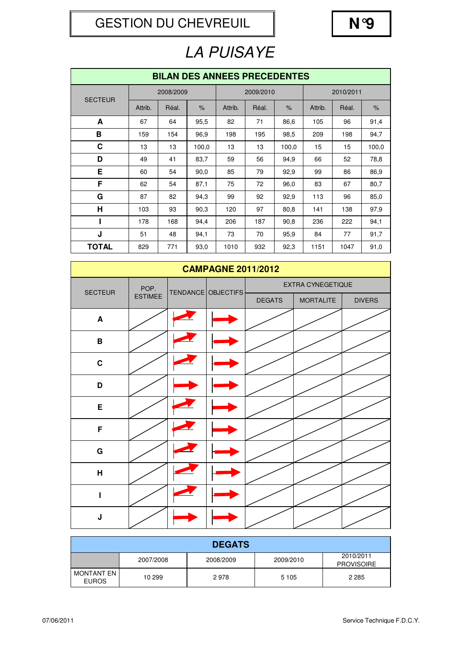GESTION DU CHEVREUIL **N°9**



# LA PUISAYE

| <b>BILAN DES ANNEES PRECEDENTES</b> |         |           |               |         |           |       |         |           |       |  |  |
|-------------------------------------|---------|-----------|---------------|---------|-----------|-------|---------|-----------|-------|--|--|
| <b>SECTEUR</b>                      |         | 2008/2009 |               |         | 2009/2010 |       |         | 2010/2011 |       |  |  |
|                                     | Attrib. | Réal.     | $\frac{9}{6}$ | Attrib. | Réal.     | $\%$  | Attrib. | Réal.     | $\%$  |  |  |
| A                                   | 67      | 64        | 95,5          | 82      | 71        | 86,6  | 105     | 96        | 91,4  |  |  |
| В                                   | 159     | 154       | 96.9          | 198     | 195       | 98,5  | 209     | 198       | 94,7  |  |  |
| C                                   | 13      | 13        | 100,0         | 13      | 13        | 100,0 | 15      | 15        | 100,0 |  |  |
| D                                   | 49      | 41        | 83,7          | 59      | 56        | 94,9  | 66      | 52        | 78,8  |  |  |
| Е                                   | 60      | 54        | 90,0          | 85      | 79        | 92,9  | 99      | 86        | 86,9  |  |  |
| F                                   | 62      | 54        | 87,1          | 75      | 72        | 96,0  | 83      | 67        | 80,7  |  |  |
| G                                   | 87      | 82        | 94,3          | 99      | 92        | 92,9  | 113     | 96        | 85,0  |  |  |
| $\mathsf{H}$                        | 103     | 93        | 90,3          | 120     | 97        | 80,8  | 141     | 138       | 97,9  |  |  |
|                                     | 178     | 168       | 94,4          | 206     | 187       | 90,8  | 236     | 222       | 94,1  |  |  |
| J                                   | 51      | 48        | 94,1          | 73      | 70        | 95,9  | 84      | 77        | 91,7  |  |  |
| <b>TOTAL</b>                        | 829     | 771       | 93,0          | 1010    | 932       | 92,3  | 1151    | 1047      | 91,0  |  |  |

| <b>CAMPAGNE 2011/2012</b> |                |  |                    |               |                   |               |  |  |  |  |
|---------------------------|----------------|--|--------------------|---------------|-------------------|---------------|--|--|--|--|
| <b>SECTEUR</b>            | POP.           |  | TENDANCE OBJECTIFS |               | EXTRA CYNEGETIQUE |               |  |  |  |  |
|                           | <b>ESTIMEE</b> |  |                    | <b>DEGATS</b> | <b>MORTALITE</b>  | <b>DIVERS</b> |  |  |  |  |
| $\blacktriangle$          |                |  |                    |               |                   |               |  |  |  |  |
| В                         |                |  |                    |               |                   |               |  |  |  |  |
| $\mathbf C$               |                |  |                    |               |                   |               |  |  |  |  |
| D                         |                |  |                    |               |                   |               |  |  |  |  |
| E                         |                |  |                    |               |                   |               |  |  |  |  |
| F                         |                |  |                    |               |                   |               |  |  |  |  |
| $\mathbf G$               |                |  |                    |               |                   |               |  |  |  |  |
| H                         |                |  |                    |               |                   |               |  |  |  |  |
| I                         |                |  |                    |               |                   |               |  |  |  |  |
| J                         |                |  |                    |               |                   |               |  |  |  |  |

|                              | <b>DEGATS</b> |           |           |                                |  |  |  |  |  |  |
|------------------------------|---------------|-----------|-----------|--------------------------------|--|--|--|--|--|--|
|                              | 2007/2008     | 2008/2009 | 2009/2010 | 2010/2011<br><b>PROVISOIRE</b> |  |  |  |  |  |  |
| MONTANT EN I<br><b>EUROS</b> | 10 299        | 2978      | 5 1 0 5   | 2 2 8 5                        |  |  |  |  |  |  |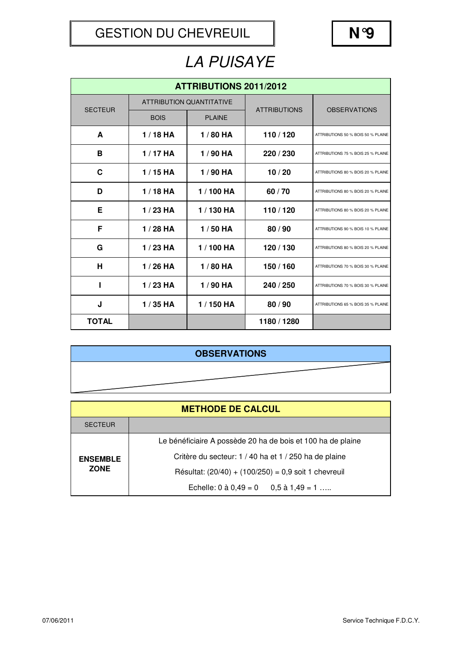## LA PUISAYE

| <b>ATTRIBUTIONS 2011/2012</b> |             |                                 |                     |                                    |  |  |  |  |  |
|-------------------------------|-------------|---------------------------------|---------------------|------------------------------------|--|--|--|--|--|
| <b>SECTEUR</b>                |             | <b>ATTRIBUTION QUANTITATIVE</b> | <b>ATTRIBUTIONS</b> | <b>OBSERVATIONS</b>                |  |  |  |  |  |
|                               | <b>BOIS</b> | <b>PLAINE</b>                   |                     |                                    |  |  |  |  |  |
| A                             | $1/18$ HA   | 1/80 HA                         | 110/120             | ATTRIBUTIONS 50 % BOIS 50 % PLAINE |  |  |  |  |  |
| B                             | $1/17$ HA   | $1/90$ HA                       | 220 / 230           | ATTRIBUTIONS 75 % BOIS 25 % PLAINE |  |  |  |  |  |
| C                             | $1/15$ HA   | $1/90$ HA                       | 10/20               | ATTRIBUTIONS 80 % BOIS 20 % PLAINE |  |  |  |  |  |
| D                             | $1/18$ HA   | 1/100 HA                        | 60/70               | ATTRIBUTIONS 80 % BOIS 20 % PLAINE |  |  |  |  |  |
| Е                             | $1/23$ HA   | 1/130 HA                        | 110/120             | ATTRIBUTIONS 80 % BOIS 20 % PLAINE |  |  |  |  |  |
| F                             | $1/28$ HA   | $1/50$ HA                       | 80/90               | ATTRIBUTIONS 90 % BOIS 10 % PLAINE |  |  |  |  |  |
| G                             | $1/23$ HA   | 1/100 HA                        | 120 / 130           | ATTRIBUTIONS 80 % BOIS 20 % PLAINE |  |  |  |  |  |
| н                             | $1/26$ HA   | $1/80$ HA                       | 150 / 160           | ATTRIBUTIONS 70 % BOIS 30 % PLAINE |  |  |  |  |  |
| п                             | $1/23$ HA   | 1/90 HA                         | 240 / 250           | ATTRIBUTIONS 70 % BOIS 30 % PLAINE |  |  |  |  |  |
| J                             | $1/35$ HA   | 1/150 HA                        | 80/90               | ATTRIBUTIONS 65 % BOIS 35 % PLAINE |  |  |  |  |  |
| <b>TOTAL</b>                  |             |                                 | 1180 / 1280         |                                    |  |  |  |  |  |

### **OBSERVATIONS**

| <b>METHODE DE CALCUL</b> |                                                             |  |  |  |  |  |  |  |  |
|--------------------------|-------------------------------------------------------------|--|--|--|--|--|--|--|--|
| <b>SECTEUR</b>           |                                                             |  |  |  |  |  |  |  |  |
|                          | Le bénéficiaire A possède 20 ha de bois et 100 ha de plaine |  |  |  |  |  |  |  |  |
| <b>ENSEMBLE</b>          | Critère du secteur: 1 / 40 ha et 1 / 250 ha de plaine       |  |  |  |  |  |  |  |  |
| <b>ZONE</b>              | Résultat: $(20/40) + (100/250) = 0.9$ soit 1 chevreuil      |  |  |  |  |  |  |  |  |
|                          | Echelle: $0$ à $0.49 = 0$ $0.5$ à $1.49 = 1$                |  |  |  |  |  |  |  |  |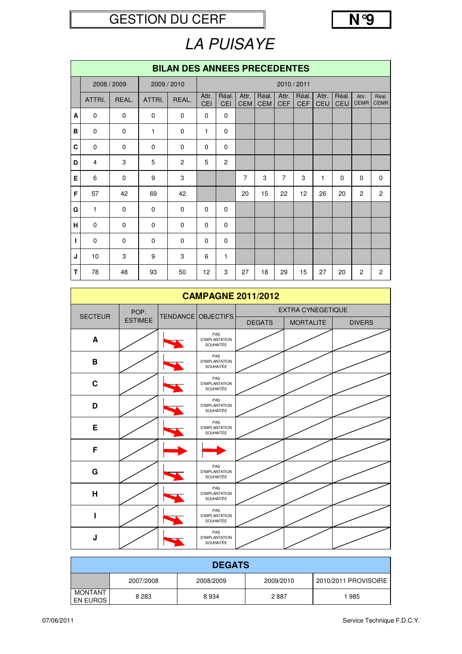### GESTION DU CERF N°9



## LA PUISAYE

|   | <b>BILAN DES ANNEES PRECEDENTES</b> |             |              |                |                     |                |                |                     |                     |                     |                      |                      |                      |                      |
|---|-------------------------------------|-------------|--------------|----------------|---------------------|----------------|----------------|---------------------|---------------------|---------------------|----------------------|----------------------|----------------------|----------------------|
|   |                                     | 2008 / 2009 |              | 2009 / 2010    |                     |                |                |                     |                     | 2010 / 2011         |                      |                      |                      |                      |
|   | ATTRI.                              | REAL.       | ATTRI.       | REAL.          | Attr.<br><b>CEI</b> | Réal.<br>CEI   | Attr.<br>CEM   | Réal.<br><b>CEM</b> | Attr.<br><b>CEF</b> | Réal.<br><b>CEF</b> | Attr.<br><b>CEIJ</b> | Réal.<br><b>CEIJ</b> | Attr.<br><b>CEMR</b> | Réal.<br><b>CEMR</b> |
| A | $\Omega$                            | $\Omega$    | $\mathbf 0$  | $\mathbf 0$    | $\mathbf 0$         | $\mathbf 0$    |                |                     |                     |                     |                      |                      |                      |                      |
| B | $\mathbf 0$                         | $\mathbf 0$ | $\mathbf{1}$ | $\mathbf 0$    | 1                   | $\mathbf 0$    |                |                     |                     |                     |                      |                      |                      |                      |
| C | $\Omega$                            | $\Omega$    | $\Omega$     | $\Omega$       | $\Omega$            | $\Omega$       |                |                     |                     |                     |                      |                      |                      |                      |
| D | 4                                   | 3           | 5            | $\overline{2}$ | 5                   | $\overline{2}$ |                |                     |                     |                     |                      |                      |                      |                      |
| Е | 6                                   | $\mathbf 0$ | 9            | 3              |                     |                | $\overline{7}$ | 3                   | $\overline{7}$      | 3                   | $\mathbf{1}$         | $\Omega$             | $\Omega$             | $\mathbf 0$          |
| F | 57                                  | 42          | 69           | 42             |                     |                | 20             | 15                  | 22                  | 12                  | 26                   | 20                   | $\overline{2}$       | $\overline{2}$       |
| G | $\mathbf{1}$                        | $\mathbf 0$ | $\Omega$     | $\mathbf 0$    | $\Omega$            | $\mathbf 0$    |                |                     |                     |                     |                      |                      |                      |                      |
| н | $\mathbf 0$                         | $\mathbf 0$ | $\mathbf 0$  | $\mathbf 0$    | $\mathbf 0$         | $\mathbf 0$    |                |                     |                     |                     |                      |                      |                      |                      |
| ı | $\mathbf 0$                         | $\mathbf 0$ | $\mathbf 0$  | $\mathbf 0$    | $\mathbf 0$         | $\mathbf 0$    |                |                     |                     |                     |                      |                      |                      |                      |
| J | 10                                  | 3           | 9            | 3              | 6                   | $\mathbf{1}$   |                |                     |                     |                     |                      |                      |                      |                      |
| Т | 78                                  | 48          | 93           | 50             | 12                  | 3              | 27             | 18                  | 29                  | 15                  | 27                   | 20                   | 2                    | $\overline{2}$       |

| <b>CAMPAGNE 2011/2012</b> |                |  |                                           |               |                          |               |  |  |  |  |  |
|---------------------------|----------------|--|-------------------------------------------|---------------|--------------------------|---------------|--|--|--|--|--|
| <b>SECTEUR</b>            | POP.           |  | TENDANCE OBJECTIFS                        |               | <b>EXTRA CYNEGETIQUE</b> |               |  |  |  |  |  |
|                           | <b>ESTIMEE</b> |  |                                           | <b>DEGATS</b> | <b>MORTALITE</b>         | <b>DIVERS</b> |  |  |  |  |  |
| A                         |                |  | PAS<br><b>D'IMPLANTATION</b><br>SOUHAITÉE |               |                          |               |  |  |  |  |  |
| B                         |                |  | PAS<br><b>D'IMPLANTATION</b><br>SOUHAITÉE |               |                          |               |  |  |  |  |  |
| $\mathbf C$               |                |  | PAS<br><b>D'IMPLANTATION</b><br>SOUHAITÉE |               |                          |               |  |  |  |  |  |
| D                         |                |  | PAS<br><b>D'IMPLANTATION</b><br>SOUHAITÉE |               |                          |               |  |  |  |  |  |
| E                         |                |  | PAS<br><b>D'IMPLANTATION</b><br>SOUHAITÉE |               |                          |               |  |  |  |  |  |
| F                         |                |  |                                           |               |                          |               |  |  |  |  |  |
| G                         |                |  | PAS<br><b>D'IMPLANTATION</b><br>SOUHAITÉE |               |                          |               |  |  |  |  |  |
| $\overline{\mathsf{H}}$   |                |  | PAS<br><b>D'IMPLANTATION</b><br>SOUHAITÉE |               |                          |               |  |  |  |  |  |
| I                         |                |  | PAS<br><b>D'IMPLANTATION</b><br>SOUHAITÉE |               |                          |               |  |  |  |  |  |
| J                         |                |  | PAS<br><b>D'IMPLANTATION</b><br>SOUHAITÉE |               |                          |               |  |  |  |  |  |

|                            | <b>DEGATS</b> |           |           |                      |  |  |  |  |  |  |
|----------------------------|---------------|-----------|-----------|----------------------|--|--|--|--|--|--|
|                            | 2007/2008     | 2008/2009 | 2009/2010 | 2010/2011 PROVISOIRE |  |  |  |  |  |  |
| <b>MONTANT</b><br>EN EUROS | 8 2 8 3       | 8934      | 2887      | 1985                 |  |  |  |  |  |  |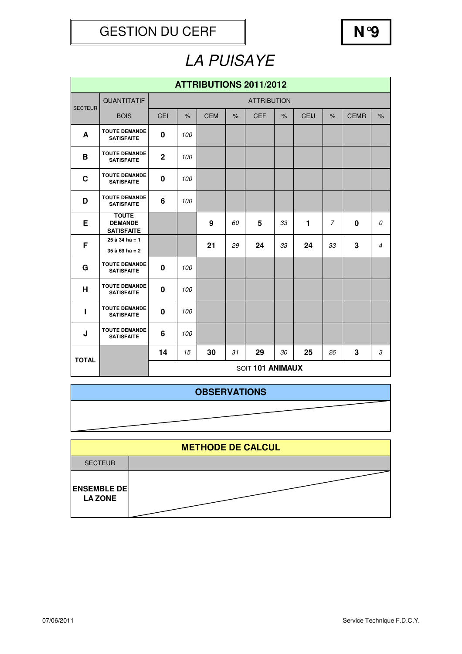

## LA PUISAYE

|                | ATTRIBUTIONS 2011/2012                              |                    |      |            |      |                  |      |             |                |             |                |  |
|----------------|-----------------------------------------------------|--------------------|------|------------|------|------------------|------|-------------|----------------|-------------|----------------|--|
| <b>SECTEUR</b> | QUANTITATIF                                         | <b>ATTRIBUTION</b> |      |            |      |                  |      |             |                |             |                |  |
|                | <b>BOIS</b>                                         | CEI                | $\%$ | <b>CEM</b> | $\%$ | <b>CEF</b>       | $\%$ | <b>CEIJ</b> | $\frac{9}{6}$  | <b>CEMR</b> | $\frac{9}{6}$  |  |
| A              | <b>TOUTE DEMANDE</b><br><b>SATISFAITE</b>           | $\bf{0}$           | 100  |            |      |                  |      |             |                |             |                |  |
| B              | <b>TOUTE DEMANDE</b><br><b>SATISFAITE</b>           | $\overline{2}$     | 100  |            |      |                  |      |             |                |             |                |  |
| $\mathbf c$    | <b>TOUTE DEMANDE</b><br><b>SATISFAITE</b>           | $\mathbf 0$        | 100  |            |      |                  |      |             |                |             |                |  |
| D              | <b>TOUTE DEMANDE</b><br><b>SATISFAITE</b>           | 6                  | 100  |            |      |                  |      |             |                |             |                |  |
| Е              | <b>TOUTE</b><br><b>DEMANDE</b><br><b>SATISFAITE</b> |                    |      | 9          | 60   | 5                | 33   | 1           | $\overline{7}$ | $\bf{0}$    | 0              |  |
| F              | $25$ à 34 ha = 1<br>$35$ à 69 ha = 2                |                    |      | 21         | 29   | 24               | 33   | 24          | 33             | 3           | $\overline{4}$ |  |
| G              | <b>TOUTE DEMANDE</b><br><b>SATISFAITE</b>           | $\mathbf 0$        | 100  |            |      |                  |      |             |                |             |                |  |
| H              | <b>TOUTE DEMANDE</b><br><b>SATISFAITE</b>           | 0                  | 100  |            |      |                  |      |             |                |             |                |  |
| ı              | <b>TOUTE DEMANDE</b><br><b>SATISFAITE</b>           | $\bf{0}$           | 100  |            |      |                  |      |             |                |             |                |  |
| J              | <b>TOUTE DEMANDE</b><br><b>SATISFAITE</b>           | 6                  | 100  |            |      |                  |      |             |                |             |                |  |
| <b>TOTAL</b>   |                                                     | 14                 | 15   | 30         | 31   | 29               | 30   | 25          | 26             | 3           | 3              |  |
|                |                                                     |                    |      |            |      | SOIT 101 ANIMAUX |      |             |                |             |                |  |

### **OBSERVATIONS**

**ENSEMBLE DE LA ZONE METHODE DE CALCUL** SECTEUR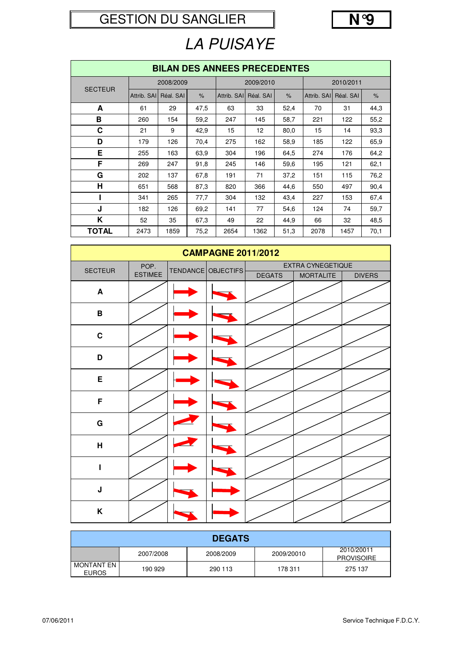### GESTION DU SANGLIER



# LA PUISAYE

|                | <b>BILAN DES ANNEES PRECEDENTES</b> |           |               |             |           |               |             |           |               |  |  |  |
|----------------|-------------------------------------|-----------|---------------|-------------|-----------|---------------|-------------|-----------|---------------|--|--|--|
|                | 2008/2009                           |           |               |             | 2009/2010 |               | 2010/2011   |           |               |  |  |  |
| <b>SECTEUR</b> | Attrib. SAI                         | Réal. SAI | $\frac{9}{6}$ | Attrib. SAI | Réal. SAI | $\frac{9}{6}$ | Attrib. SAI | Réal, SAI | $\frac{9}{6}$ |  |  |  |
| A              | 61                                  | 29        | 47,5          | 63          | 33        | 52,4          | 70          | 31        | 44,3          |  |  |  |
| в              | 260                                 | 154       | 59,2          | 247         | 145       | 58,7          | 221         | 122       | 55,2          |  |  |  |
| C              | 21                                  | 9         | 42,9          | 15          | 12        | 80,0          | 15          | 14        | 93,3          |  |  |  |
| D              | 179                                 | 126       | 70,4          | 275         | 162       | 58,9          | 185         | 122       | 65,9          |  |  |  |
| Е              | 255                                 | 163       | 63.9          | 304         | 196       | 64,5          | 274         | 176       | 64,2          |  |  |  |
| F              | 269                                 | 247       | 91,8          | 245         | 146       | 59,6          | 195         | 121       | 62,1          |  |  |  |
| G              | 202                                 | 137       | 67,8          | 191         | 71        | 37,2          | 151         | 115       | 76,2          |  |  |  |
| н              | 651                                 | 568       | 87,3          | 820         | 366       | 44,6          | 550         | 497       | 90,4          |  |  |  |
|                | 341                                 | 265       | 77,7          | 304         | 132       | 43,4          | 227         | 153       | 67,4          |  |  |  |
| J              | 182                                 | 126       | 69,2          | 141         | 77        | 54,6          | 124         | 74        | 59,7          |  |  |  |
| Κ              | 52                                  | 35        | 67,3          | 49          | 22        | 44,9          | 66          | 32        | 48,5          |  |  |  |
| <b>TOTAL</b>   | 2473                                | 1859      | 75,2          | 2654        | 1362      | 51,3          | 2078        | 1457      | 70,1          |  |  |  |

|                  |                | <b>CAMPAGNE 2011/2012</b> |               |                   |               |
|------------------|----------------|---------------------------|---------------|-------------------|---------------|
| <b>SECTEUR</b>   | POP.           | TENDANCE OBJECTIFS        |               | EXTRA CYNEGETIQUE |               |
|                  | <b>ESTIMEE</b> |                           | <b>DEGATS</b> | <b>MORTALITE</b>  | <b>DIVERS</b> |
| $\blacktriangle$ |                |                           |               |                   |               |
| $\, {\bf B}$     |                |                           |               |                   |               |
| $\mathbf C$      |                |                           |               |                   |               |
| D                |                |                           |               |                   |               |
| $\mathsf E$      |                |                           |               |                   |               |
| F                |                |                           |               |                   |               |
| ${\bf G}$        |                |                           |               |                   |               |
| $\mathbf H$      |                |                           |               |                   |               |
| I                |                |                           |               |                   |               |
| $\mathsf J$      |                |                           |               |                   |               |
| K                |                |                           |               |                   |               |

|                                   | <b>DEGATS</b> |           |            |                                 |  |  |  |  |  |  |
|-----------------------------------|---------------|-----------|------------|---------------------------------|--|--|--|--|--|--|
|                                   | 2007/2008     | 2008/2009 | 2009/20010 | 2010/20011<br><b>PROVISOIRE</b> |  |  |  |  |  |  |
| <b>MONTANT EN</b><br><b>EUROS</b> | 190 929       | 290 113   | 178 311    | 275 137                         |  |  |  |  |  |  |